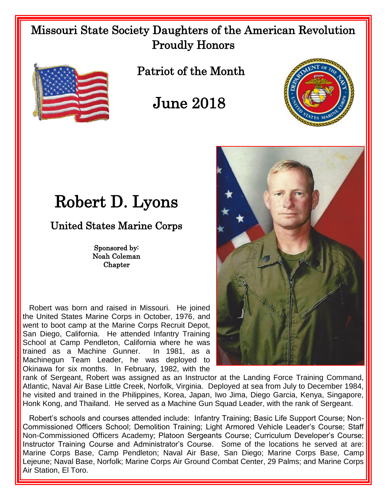## Missouri State Society Daughters of the American Revolution Proudly Honors



Patriot of the Month

## June 2018



## Robert D. Lyons

United States Marine Corps

Sponsored by: Noah Coleman **Chapter** 

 Robert was born and raised in Missouri. He joined the United States Marine Corps in October, 1976, and went to boot camp at the Marine Corps Recruit Depot, San Diego, California. He attended Infantry Training School at Camp Pendleton, California where he was trained as a Machine Gunner. In 1981, as a Machinegun Team Leader, he was deployed to Okinawa for six months. In February, 1982, with the



rank of Sergeant, Robert was assigned as an Instructor at the Landing Force Training Command, Atlantic, Naval Air Base Little Creek, Norfolk, Virginia. Deployed at sea from July to December 1984, he visited and trained in the Philippines, Korea, Japan, Iwo Jima, Diego Garcia, Kenya, Singapore, Honk Kong, and Thailand. He served as a Machine Gun Squad Leader, with the rank of Sergeant.

 Robert's schools and courses attended include: Infantry Training; Basic Life Support Course; Non-Commissioned Officers School; Demolition Training; Light Armored Vehicle Leader's Course; Staff Non-Commissioned Officers Academy; Platoon Sergeants Course; Curriculum Developer's Course; Instructor Training Course and Administrator's Course. Some of the locations he served at are: Marine Corps Base, Camp Pendleton; Naval Air Base, San Diego; Marine Corps Base, Camp Lejeune; Naval Base, Norfolk; Marine Corps Air Ground Combat Center, 29 Palms; and Marine Corps Air Station, El Toro.